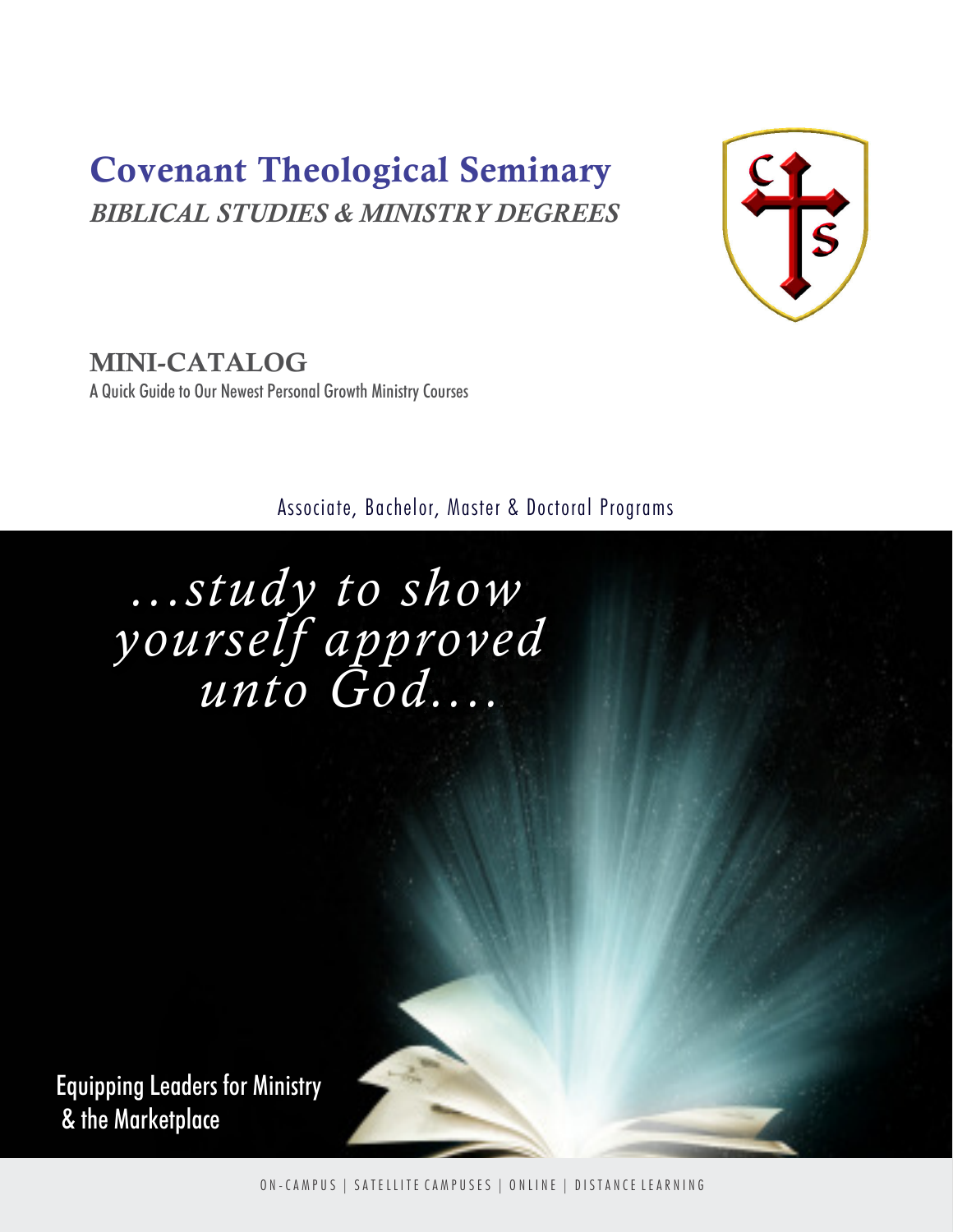# Covenant Theological Seminary BIBLICAL STUDIES & MINISTRY DEGREES



MINI-CATALOG A Quick Guide to Our Newest Personal Growth Ministry Courses

Associate, Bachelor, Master & Doctoral Programs

 ...study to show yourself approved unto God....

Equipping Leaders for Ministry & the Marketplace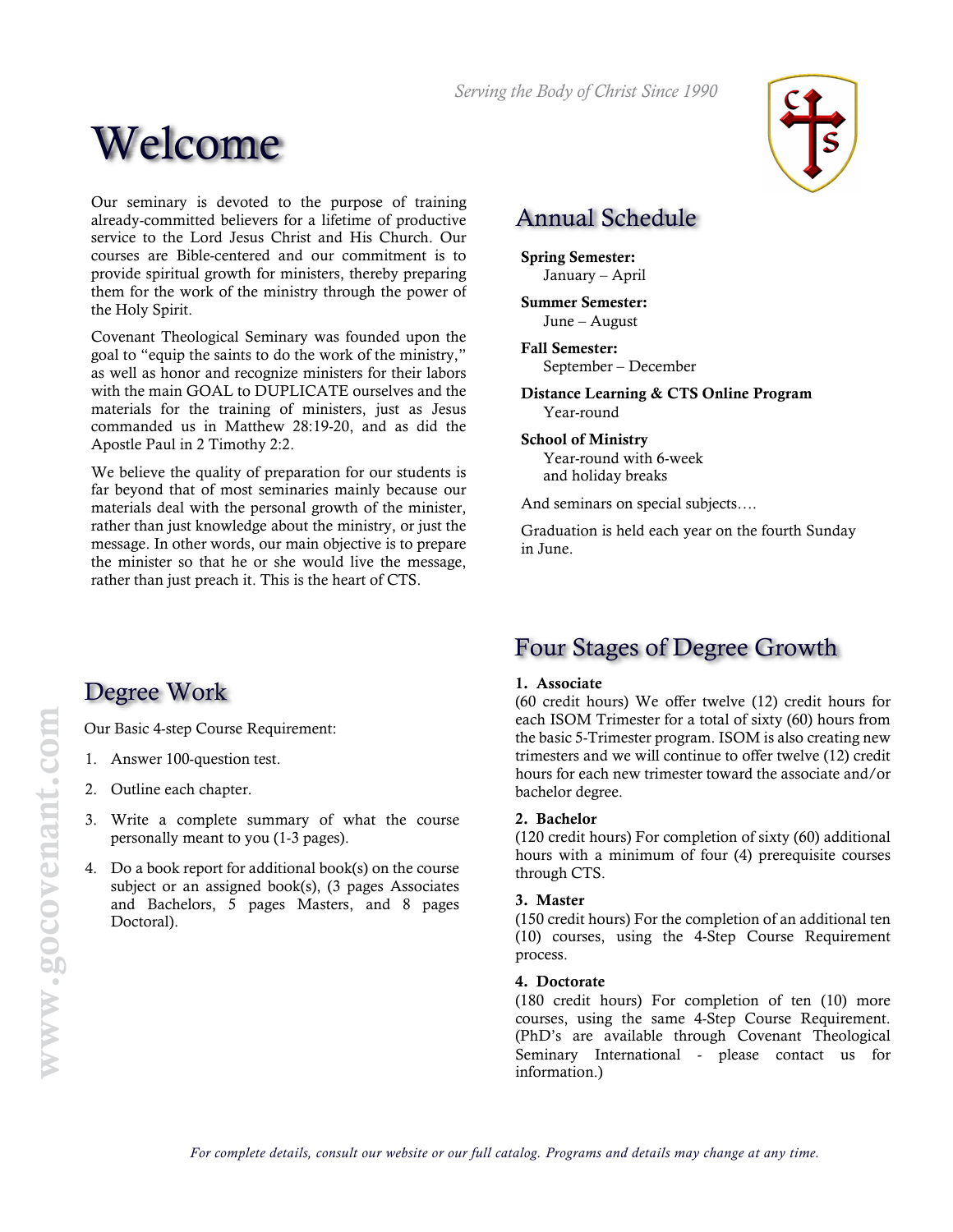Serving the Body of Christ Since 1990



Our seminary is devoted to the purpose of training already-committed believers for a lifetime of productive service to the Lord Jesus Christ and His Church. Our courses are Bible-centered and our commitment is to provide spiritual growth for ministers, thereby preparing them for the work of the ministry through the power of the Holy Spirit.

Covenant Theological Seminary was founded upon the goal to "equip the saints to do the work of the ministry," as well as honor and recognize ministers for their labors with the main GOAL to DUPLICATE ourselves and the materials for the training of ministers, just as Jesus commanded us in Matthew 28:19-20, and as did the Apostle Paul in 2 Timothy 2:2.

We believe the quality of preparation for our students is far beyond that of most seminaries mainly because our materials deal with the personal growth of the minister, rather than just knowledge about the ministry, or just the message. In other words, our main objective is to prepare the minister so that he or she would live the message, rather than just preach it. This is the heart of CTS.

# Annual Schedule

Spring Semester: January – April

Summer Semester: June – August

Fall Semester: September – December

Distance Learning & CTS Online Program Year-round

School of Ministry Year-round with 6-week and holiday breaks

And seminars on special subjects….

Graduation is held each year on the fourth Sunday in June.

# Degree Work

Our Basic 4-step Course Requirement:

- 1. Answer 100-question test.
- 2. Outline each chapter.
- 3. Write a complete summary of what the course personally meant to you (1-3 pages).
- 4. Do a book report for additional book(s) on the course subject or an assigned book(s), (3 pages Associates and Bachelors, 5 pages Masters, and 8 pages Doctoral).

# Four Stages of Degree Growth

## 1. Associate

(60 credit hours) We offer twelve (12) credit hours for each ISOM Trimester for a total of sixty (60) hours from the basic 5-Trimester program. ISOM is also creating new trimesters and we will continue to offer twelve (12) credit hours for each new trimester toward the associate and/or bachelor degree.

## 2. Bachelor

(120 credit hours) For completion of sixty (60) additional hours with a minimum of four (4) prerequisite courses through CTS.

## 3. Master

(150 credit hours) For the completion of an additional ten (10) courses, using the 4-Step Course Requirement process.

### 4. Doctorate

(180 credit hours) For completion of ten (10) more courses, using the same 4-Step Course Requirement. (PhD's are available through Covenant Theological Seminary International - please contact us for information.)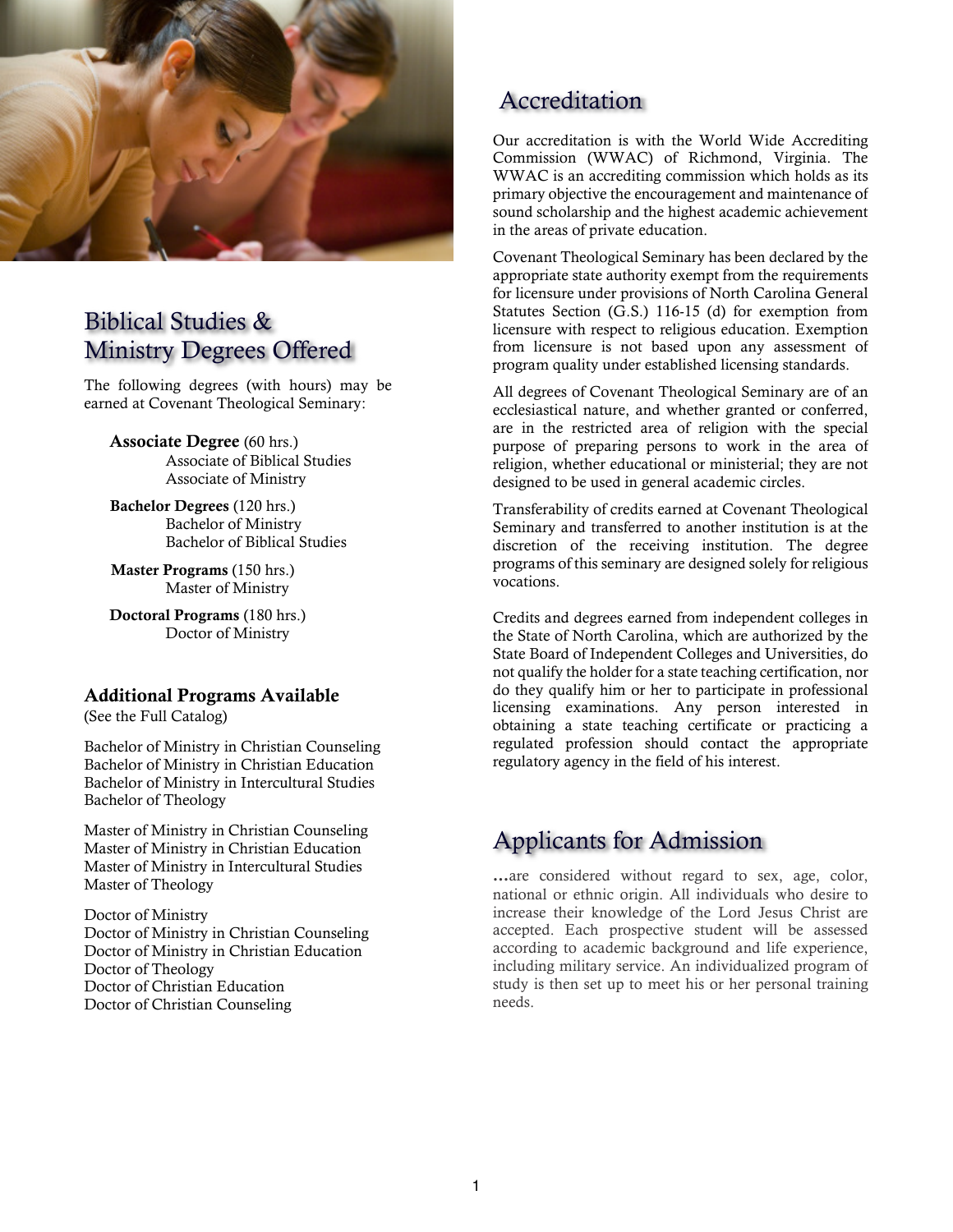

# Biblical Studies & Ministry Degrees Offered

The following degrees (with hours) may be earned at Covenant Theological Seminary:

Associate Degree (60 hrs.) Associate of Biblical Studies Associate of Ministry

Bachelor Degrees (120 hrs.) Bachelor of Ministry Bachelor of Biblical Studies

Master Programs (150 hrs.) Master of Ministry

Doctoral Programs (180 hrs.) Doctor of Ministry

# Additional Programs Available

(See the Full Catalog)

Bachelor of Ministry in Christian Counseling Bachelor of Ministry in Christian Education Bachelor of Ministry in Intercultural Studies Bachelor of Theology

Master of Ministry in Christian Counseling Master of Ministry in Christian Education Master of Ministry in Intercultural Studies Master of Theology

Doctor of Ministry Doctor of Ministry in Christian Counseling Doctor of Ministry in Christian Education Doctor of Theology Doctor of Christian Education Doctor of Christian Counseling

# Accreditation

Our accreditation is with the World Wide Accrediting Commission (WWAC) of Richmond, Virginia. The WWAC is an accrediting commission which holds as its primary objective the encouragement and maintenance of sound scholarship and the highest academic achievement in the areas of private education.

Covenant Theological Seminary has been declared by the appropriate state authority exempt from the requirements for licensure under provisions of North Carolina General Statutes Section (G.S.) 116-15 (d) for exemption from licensure with respect to religious education. Exemption from licensure is not based upon any assessment of program quality under established licensing standards.

All degrees of Covenant Theological Seminary are of an ecclesiastical nature, and whether granted or conferred, are in the restricted area of religion with the special purpose of preparing persons to work in the area of religion, whether educational or ministerial; they are not designed to be used in general academic circles.

Transferability of credits earned at Covenant Theological Seminary and transferred to another institution is at the discretion of the receiving institution. The degree programs of this seminary are designed solely for religious vocations.

Credits and degrees earned from independent colleges in the State of North Carolina, which are authorized by the State Board of Independent Colleges and Universities, do not qualify the holder for a state teaching certification, nor do they qualify him or her to participate in professional licensing examinations. Any person interested in obtaining a state teaching certificate or practicing a regulated profession should contact the appropriate regulatory agency in the field of his interest.

# Applicants for Admission

...are considered without regard to sex, age, color, national or ethnic origin. All individuals who desire to increase their knowledge of the Lord Jesus Christ are accepted. Each prospective student will be assessed according to academic background and life experience, including military service. An individualized program of study is then set up to meet his or her personal training needs.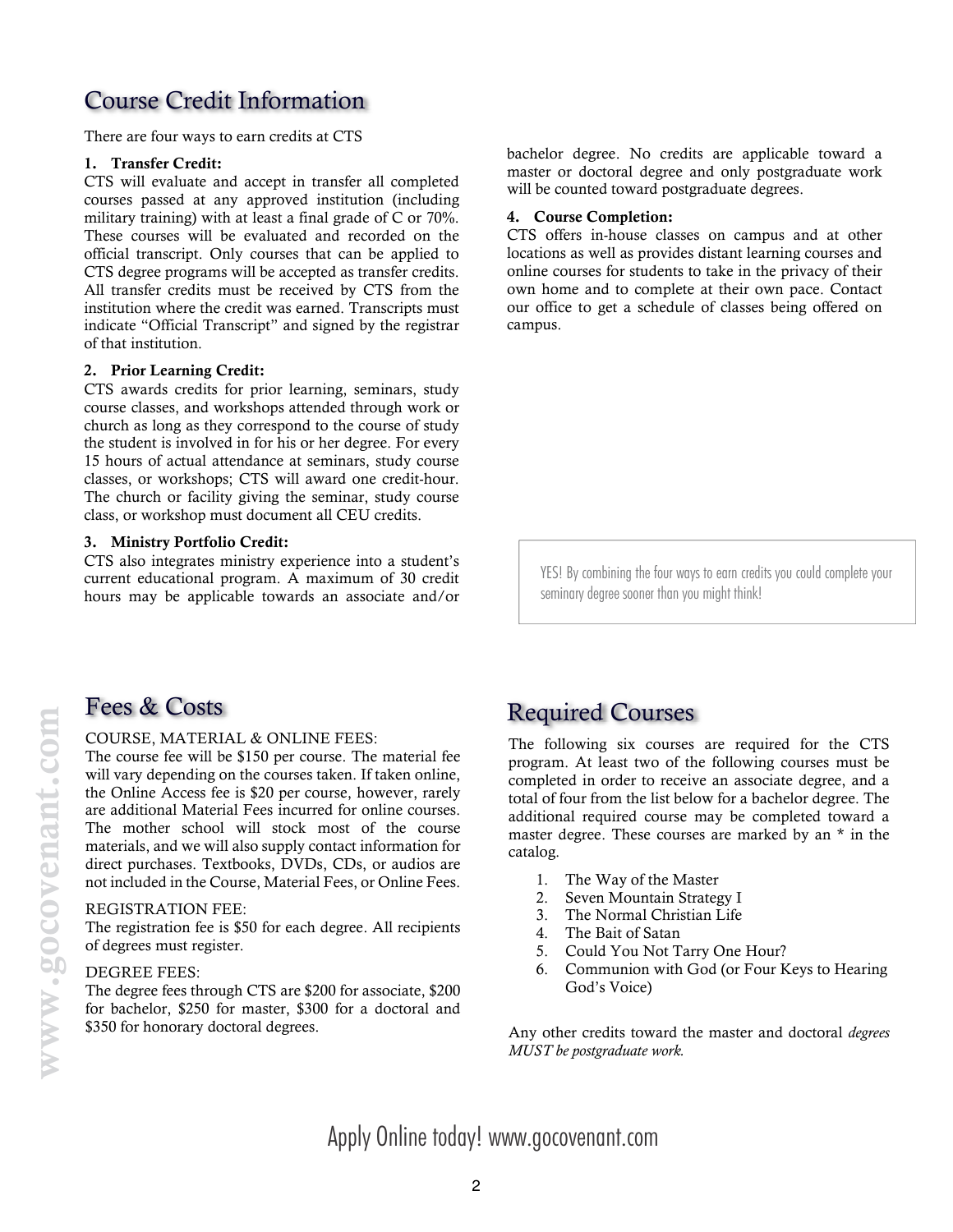# Course Credit Information

There are four ways to earn credits at CTS

### 1. Transfer Credit:

CTS will evaluate and accept in transfer all completed courses passed at any approved institution (including military training) with at least a final grade of C or 70%. These courses will be evaluated and recorded on the official transcript. Only courses that can be applied to CTS degree programs will be accepted as transfer credits. All transfer credits must be received by CTS from the institution where the credit was earned. Transcripts must indicate "Official Transcript" and signed by the registrar of that institution.

### 2. Prior Learning Credit:

CTS awards credits for prior learning, seminars, study course classes, and workshops attended through work or church as long as they correspond to the course of study the student is involved in for his or her degree. For every 15 hours of actual attendance at seminars, study course classes, or workshops; CTS will award one credit-hour. The church or facility giving the seminar, study course class, or workshop must document all CEU credits.

## 3. Ministry Portfolio Credit:

CTS also integrates ministry experience into a student's current educational program. A maximum of 30 credit hours may be applicable towards an associate and/or

bachelor degree. No credits are applicable toward a master or doctoral degree and only postgraduate work will be counted toward postgraduate degrees.

### 4. Course Completion:

CTS offers in-house classes on campus and at other locations as well as provides distant learning courses and online courses for students to take in the privacy of their own home and to complete at their own pace. Contact our office to get a schedule of classes being offered on campus.

YES! By combining the four ways to earn credits you could complete your seminary degree sooner than you might think!

### COURSE, MATERIAL & ONLINE FEES:

The course fee will be \$150 per course. The material fee will vary depending on the courses taken. If taken online, the Online Access fee is \$20 per course, however, rarely are additional Material Fees incurred for online courses. The mother school will stock most of the course materials, and we will also supply contact information for direct purchases. Textbooks, DVDs, CDs, or audios are not included in the Course, Material Fees, or Online Fees.

### REGISTRATION FEE:

The registration fee is \$50 for each degree. All recipients of degrees must register.

### DEGREE FEES:

The degree fees through CTS are \$200 for associate, \$200 for bachelor, \$250 for master, \$300 for a doctoral and \$350 for honorary doctoral degrees.

# Fees & Costs The Required Courses

The following six courses are required for the CTS program. At least two of the following courses must be completed in order to receive an associate degree, and a total of four from the list below for a bachelor degree. The additional required course may be completed toward a master degree. These courses are marked by an \* in the catalog.

- 1. The Way of the Master
- 2. Seven Mountain Strategy I
- 3. The Normal Christian Life
- 4. The Bait of Satan
- 5. Could You Not Tarry One Hour?
- 6. Communion with God (or Four Keys to Hearing God's Voice)

Any other credits toward the master and doctoral *degrees* MUST be postgraduate work.

Apply Online today! www.gocovenant.com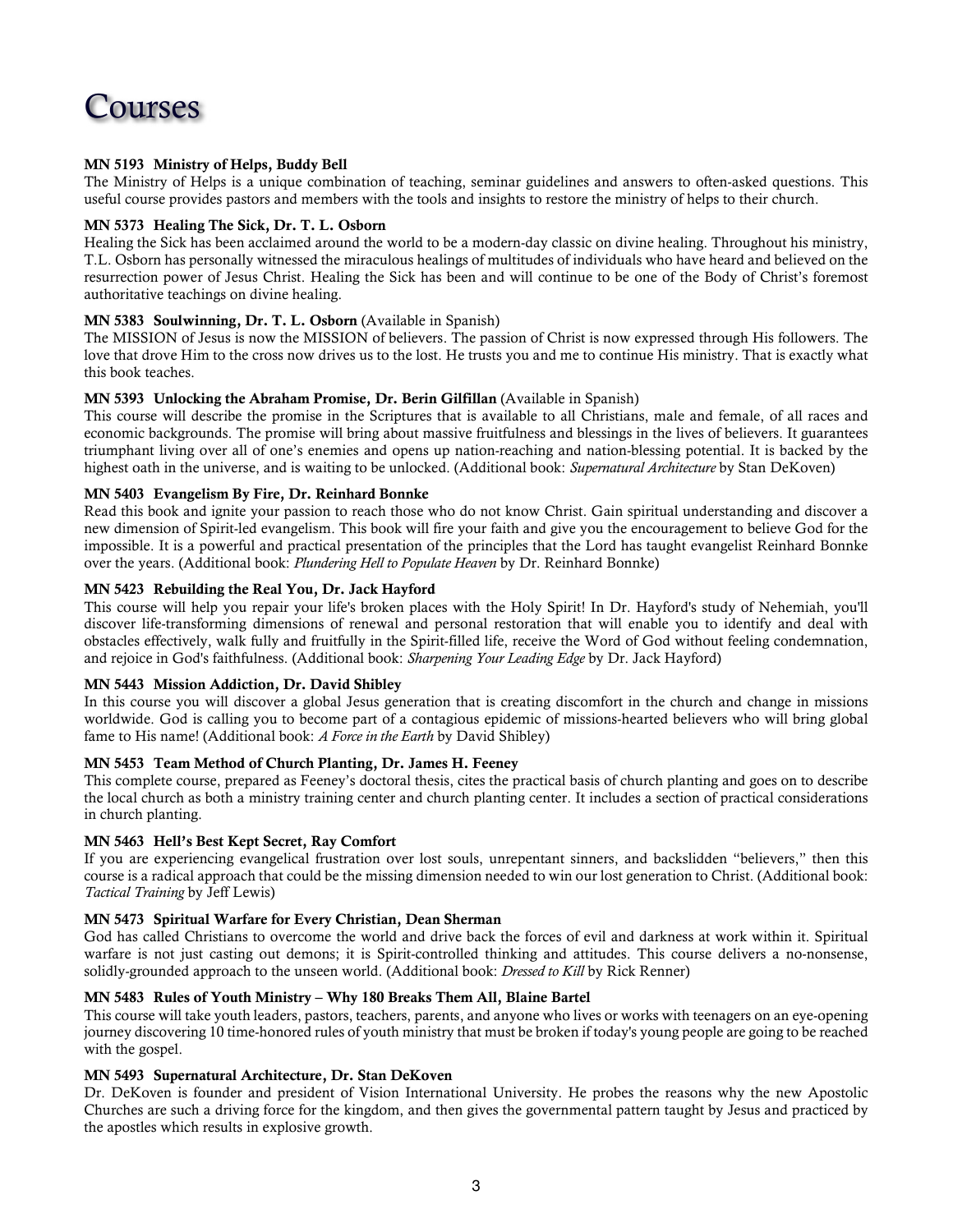

### MN 5193 Ministry of Helps, Buddy Bell

The Ministry of Helps is a unique combination of teaching, seminar guidelines and answers to often-asked questions. This useful course provides pastors and members with the tools and insights to restore the ministry of helps to their church.

### MN 5373 Healing The Sick, Dr. T. L. Osborn

Healing the Sick has been acclaimed around the world to be a modern-day classic on divine healing. Throughout his ministry, T.L. Osborn has personally witnessed the miraculous healings of multitudes of individuals who have heard and believed on the resurrection power of Jesus Christ. Healing the Sick has been and will continue to be one of the Body of Christ's foremost authoritative teachings on divine healing.

### MN 5383 Soulwinning, Dr. T. L. Osborn (Available in Spanish)

The MISSION of Jesus is now the MISSION of believers. The passion of Christ is now expressed through His followers. The love that drove Him to the cross now drives us to the lost. He trusts you and me to continue His ministry. That is exactly what this book teaches.

### MN 5393 Unlocking the Abraham Promise, Dr. Berin Gilfillan (Available in Spanish)

This course will describe the promise in the Scriptures that is available to all Christians, male and female, of all races and economic backgrounds. The promise will bring about massive fruitfulness and blessings in the lives of believers. It guarantees triumphant living over all of one's enemies and opens up nation-reaching and nation-blessing potential. It is backed by the highest oath in the universe, and is waiting to be unlocked. (Additional book: Supernatural Architecture by Stan DeKoven)

### MN 5403 Evangelism By Fire, Dr. Reinhard Bonnke

Read this book and ignite your passion to reach those who do not know Christ. Gain spiritual understanding and discover a new dimension of Spirit-led evangelism. This book will fire your faith and give you the encouragement to believe God for the impossible. It is a powerful and practical presentation of the principles that the Lord has taught evangelist Reinhard Bonnke over the years. (Additional book: Plundering Hell to Populate Heaven by Dr. Reinhard Bonnke)

### MN 5423 Rebuilding the Real You, Dr. Jack Hayford

This course will help you repair your life's broken places with the Holy Spirit! In Dr. Hayford's study of Nehemiah, you'll discover life-transforming dimensions of renewal and personal restoration that will enable you to identify and deal with obstacles effectively, walk fully and fruitfully in the Spirit-filled life, receive the Word of God without feeling condemnation, and rejoice in God's faithfulness. (Additional book: Sharpening Your Leading Edge by Dr. Jack Hayford)

### MN 5443 Mission Addiction, Dr. David Shibley

In this course you will discover a global Jesus generation that is creating discomfort in the church and change in missions worldwide. God is calling you to become part of a contagious epidemic of missions-hearted believers who will bring global fame to His name! (Additional book: A Force in the Earth by David Shibley)

### MN 5453 Team Method of Church Planting, Dr. James H. Feeney

This complete course, prepared as Feeney's doctoral thesis, cites the practical basis of church planting and goes on to describe the local church as both a ministry training center and church planting center. It includes a section of practical considerations in church planting.

### MN 5463 Hell's Best Kept Secret, Ray Comfort

If you are experiencing evangelical frustration over lost souls, unrepentant sinners, and backslidden "believers," then this course is a radical approach that could be the missing dimension needed to win our lost generation to Christ. (Additional book: Tactical Training by Jeff Lewis)

### MN 5473 Spiritual Warfare for Every Christian, Dean Sherman

God has called Christians to overcome the world and drive back the forces of evil and darkness at work within it. Spiritual warfare is not just casting out demons; it is Spirit-controlled thinking and attitudes. This course delivers a no-nonsense, solidly-grounded approach to the unseen world. (Additional book: *Dressed to Kill* by Rick Renner)

### MN 5483 Rules of Youth Ministry – Why 180 Breaks Them All, Blaine Bartel

This course will take youth leaders, pastors, teachers, parents, and anyone who lives or works with teenagers on an eye-opening journey discovering 10 time-honored rules of youth ministry that must be broken if today's young people are going to be reached with the gospel.

### MN 5493 Supernatural Architecture, Dr. Stan DeKoven

Dr. DeKoven is founder and president of Vision International University. He probes the reasons why the new Apostolic Churches are such a driving force for the kingdom, and then gives the governmental pattern taught by Jesus and practiced by the apostles which results in explosive growth.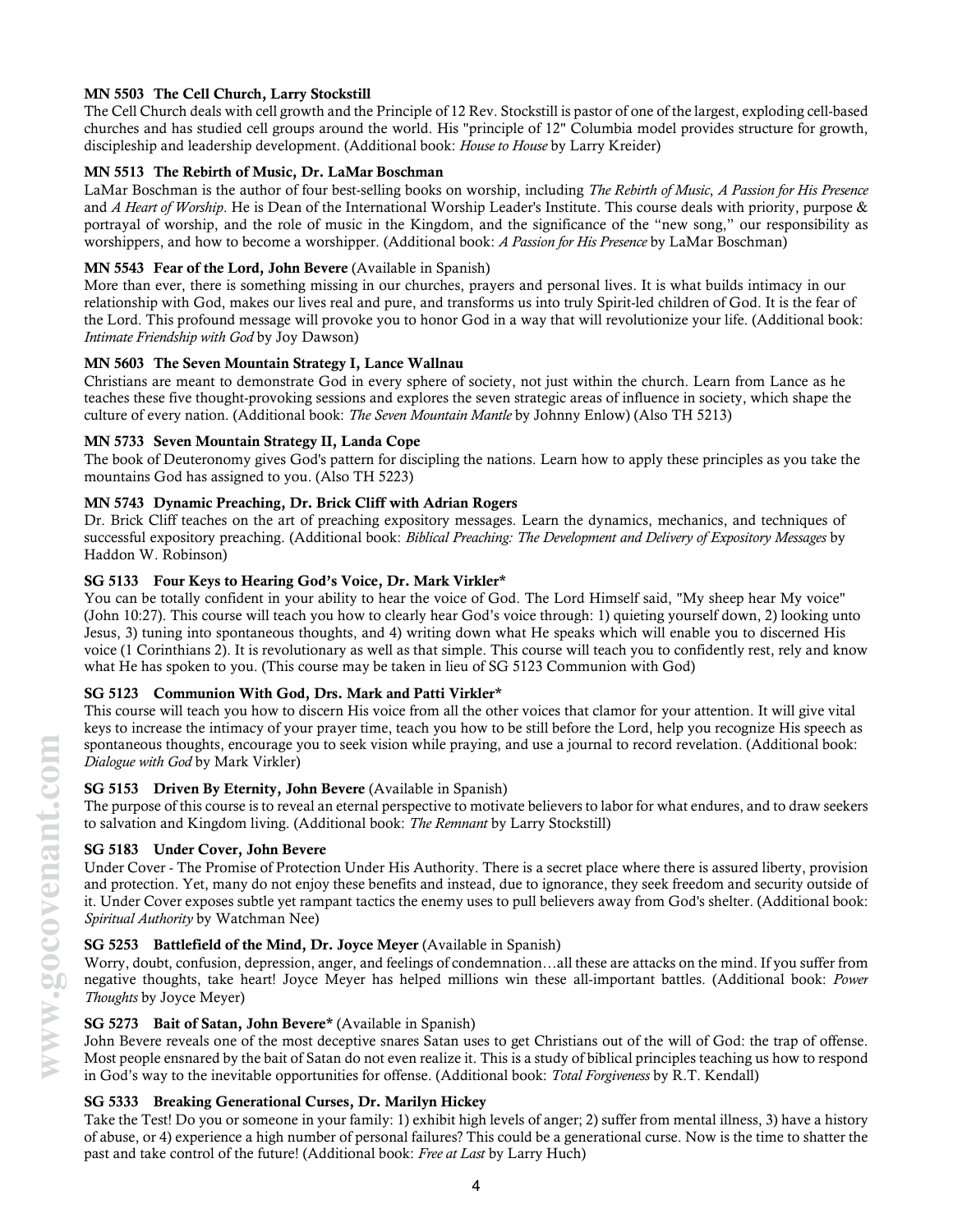### MN 5503 The Cell Church, Larry Stockstill

The Cell Church deals with cell growth and the Principle of 12 Rev. Stockstill is pastor of one of the largest, exploding cell-based churches and has studied cell groups around the world. His "principle of 12" Columbia model provides structure for growth, discipleship and leadership development. (Additional book: House to House by Larry Kreider)

### MN 5513 The Rebirth of Music, Dr. LaMar Boschman

LaMar Boschman is the author of four best-selling books on worship, including The Rebirth of Music, A Passion for His Presence and A Heart of Worship. He is Dean of the International Worship Leader's Institute. This course deals with priority, purpose & portrayal of worship, and the role of music in the Kingdom, and the significance of the "new song," our responsibility as worshippers, and how to become a worshipper. (Additional book: A Passion for His Presence by LaMar Boschman)

### MN 5543 Fear of the Lord, John Bevere (Available in Spanish)

More than ever, there is something missing in our churches, prayers and personal lives. It is what builds intimacy in our relationship with God, makes our lives real and pure, and transforms us into truly Spirit-led children of God. It is the fear of the Lord. This profound message will provoke you to honor God in a way that will revolutionize your life. (Additional book: Intimate Friendship with God by Joy Dawson)

### MN 5603 The Seven Mountain Strategy I, Lance Wallnau

Christians are meant to demonstrate God in every sphere of society, not just within the church. Learn from Lance as he teaches these five thought-provoking sessions and explores the seven strategic areas of influence in society, which shape the culture of every nation. (Additional book: The Seven Mountain Mantle by Johnny Enlow) (Also TH 5213)

### MN 5733 Seven Mountain Strategy II, Landa Cope

The book of Deuteronomy gives God's pattern for discipling the nations. Learn how to apply these principles as you take the mountains God has assigned to you. (Also TH 5223)

### MN 5743 Dynamic Preaching, Dr. Brick Cliff with Adrian Rogers

Dr. Brick Cliff teaches on the art of preaching expository messages. Learn the dynamics, mechanics, and techniques of successful expository preaching. (Additional book: Biblical Preaching: The Development and Delivery of Expository Messages by Haddon W. Robinson)

### SG 5133 Four Keys to Hearing God's Voice, Dr. Mark Virkler\*

You can be totally confident in your ability to hear the voice of God. The Lord Himself said, "My sheep hear My voice" (John 10:27). This course will teach you how to clearly hear God's voice through: 1) quieting yourself down, 2) looking unto Jesus, 3) tuning into spontaneous thoughts, and 4) writing down what He speaks which will enable you to discerned His voice (1 Corinthians 2). It is revolutionary as well as that simple. This course will teach you to confidently rest, rely and know what He has spoken to you. (This course may be taken in lieu of SG 5123 Communion with God)

## SG 5123 Communion With God, Drs. Mark and Patti Virkler\*

This course will teach you how to discern His voice from all the other voices that clamor for your attention. It will give vital keys to increase the intimacy of your prayer time, teach you how to be still before the Lord, help you recognize His speech as spontaneous thoughts, encourage you to seek vision while praying, and use a journal to record revelation. (Additional book: Dialogue with God by Mark Virkler)

### SG 5153 Driven By Eternity, John Bevere (Available in Spanish)

The purpose of this course is to reveal an eternal perspective to motivate believers to labor for what endures, and to draw seekers to salvation and Kingdom living. (Additional book: The Remnant by Larry Stockstill)

### SG 5183 Under Cover, John Bevere

Under Cover - The Promise of Protection Under His Authority. There is a secret place where there is assured liberty, provision and protection. Yet, many do not enjoy these benefits and instead, due to ignorance, they seek freedom and security outside of it. Under Cover exposes subtle yet rampant tactics the enemy uses to pull believers away from God's shelter. (Additional book: Spiritual Authority by Watchman Nee)

### SG 5253 Battlefield of the Mind, Dr. Joyce Meyer (Available in Spanish)

Worry, doubt, confusion, depression, anger, and feelings of condemnation…all these are attacks on the mind. If you suffer from negative thoughts, take heart! Joyce Meyer has helped millions win these all-important battles. (Additional book: Power Thoughts by Joyce Meyer)

### SG 5273 Bait of Satan, John Bevere\* (Available in Spanish)

John Bevere reveals one of the most deceptive snares Satan uses to get Christians out of the will of God: the trap of offense. Most people ensnared by the bait of Satan do not even realize it. This is a study of biblical principles teaching us how to respond in God's way to the inevitable opportunities for offense. (Additional book: Total Forgiveness by R.T. Kendall)

### SG 5333 Breaking Generational Curses, Dr. Marilyn Hickey

Take the Test! Do you or someone in your family: 1) exhibit high levels of anger; 2) suffer from mental illness, 3) have a history of abuse, or 4) experience a high number of personal failures? This could be a generational curse. Now is the time to shatter the past and take control of the future! (Additional book: Free at Last by Larry Huch)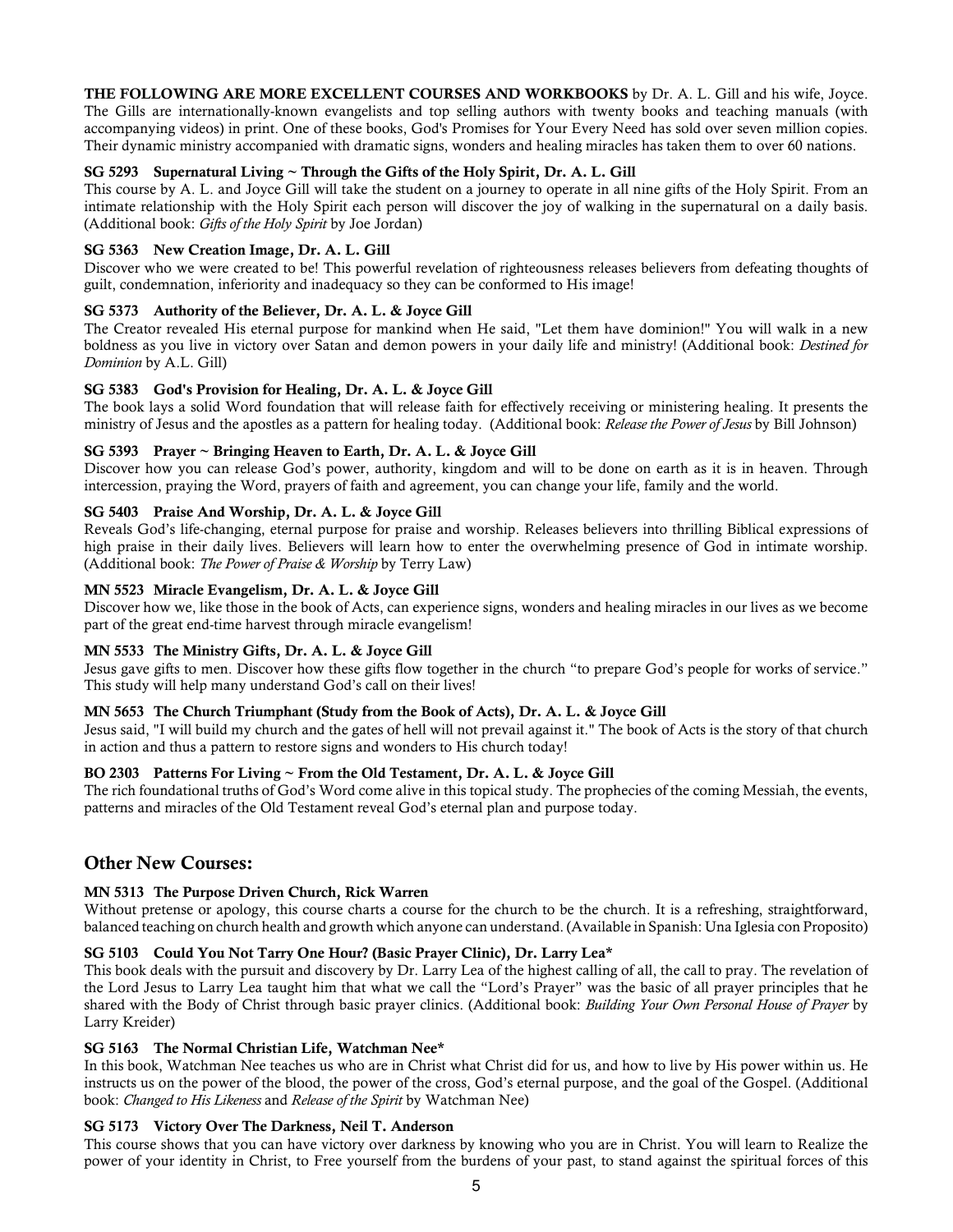THE FOLLOWING ARE MORE EXCELLENT COURSES AND WORKBOOKS by Dr. A. L. Gill and his wife, Joyce. The Gills are internationally-known evangelists and top selling authors with twenty books and teaching manuals (with accompanying videos) in print. One of these books, God's Promises for Your Every Need has sold over seven million copies. Their dynamic ministry accompanied with dramatic signs, wonders and healing miracles has taken them to over 60 nations.

### SG 5293 Supernatural Living ~ Through the Gifts of the Holy Spirit, Dr. A. L. Gill

This course by A. L. and Joyce Gill will take the student on a journey to operate in all nine gifts of the Holy Spirit. From an intimate relationship with the Holy Spirit each person will discover the joy of walking in the supernatural on a daily basis. (Additional book: Gifts of the Holy Spirit by Joe Jordan)

### SG 5363 New Creation Image, Dr. A. L. Gill

Discover who we were created to be! This powerful revelation of righteousness releases believers from defeating thoughts of guilt, condemnation, inferiority and inadequacy so they can be conformed to His image!

### SG 5373 Authority of the Believer, Dr. A. L. & Joyce Gill

The Creator revealed His eternal purpose for mankind when He said, "Let them have dominion!" You will walk in a new boldness as you live in victory over Satan and demon powers in your daily life and ministry! (Additional book: *Destined for* Dominion by A.L. Gill)

### SG 5383 God's Provision for Healing, Dr. A. L. & Joyce Gill

The book lays a solid Word foundation that will release faith for effectively receiving or ministering healing. It presents the ministry of Jesus and the apostles as a pattern for healing today. (Additional book: Release the Power of Jesus by Bill Johnson)

### SG 5393 Prayer ~ Bringing Heaven to Earth, Dr. A. L. & Joyce Gill

Discover how you can release God's power, authority, kingdom and will to be done on earth as it is in heaven. Through intercession, praying the Word, prayers of faith and agreement, you can change your life, family and the world.

### SG 5403 Praise And Worship, Dr. A. L. & Joyce Gill

Reveals God's life-changing, eternal purpose for praise and worship. Releases believers into thrilling Biblical expressions of high praise in their daily lives. Believers will learn how to enter the overwhelming presence of God in intimate worship. (Additional book: The Power of Praise & Worship by Terry Law)

### MN 5523 Miracle Evangelism, Dr. A. L. & Joyce Gill

Discover how we, like those in the book of Acts, can experience signs, wonders and healing miracles in our lives as we become part of the great end-time harvest through miracle evangelism!

### MN 5533 The Ministry Gifts, Dr. A. L. & Joyce Gill

Jesus gave gifts to men. Discover how these gifts flow together in the church "to prepare God's people for works of service." This study will help many understand God's call on their lives!

### MN 5653 The Church Triumphant (Study from the Book of Acts), Dr. A. L. & Joyce Gill

Jesus said, "I will build my church and the gates of hell will not prevail against it." The book of Acts is the story of that church in action and thus a pattern to restore signs and wonders to His church today!

### BO 2303 Patterns For Living ~ From the Old Testament, Dr. A. L. & Joyce Gill

The rich foundational truths of God's Word come alive in this topical study. The prophecies of the coming Messiah, the events, patterns and miracles of the Old Testament reveal God's eternal plan and purpose today.

## Other New Courses:

### MN 5313 The Purpose Driven Church, Rick Warren

Without pretense or apology, this course charts a course for the church to be the church. It is a refreshing, straightforward, balanced teaching on church health and growth which anyone can understand. (Available in Spanish: Una Iglesia con Proposito)

### SG 5103 Could You Not Tarry One Hour? (Basic Prayer Clinic), Dr. Larry Lea\*

This book deals with the pursuit and discovery by Dr. Larry Lea of the highest calling of all, the call to pray. The revelation of the Lord Jesus to Larry Lea taught him that what we call the "Lord's Prayer" was the basic of all prayer principles that he shared with the Body of Christ through basic prayer clinics. (Additional book: Building Your Own Personal House of Prayer by Larry Kreider)

### SG 5163 The Normal Christian Life, Watchman Nee\*

In this book, Watchman Nee teaches us who are in Christ what Christ did for us, and how to live by His power within us. He instructs us on the power of the blood, the power of the cross, God's eternal purpose, and the goal of the Gospel. (Additional book: Changed to His Likeness and Release of the Spirit by Watchman Nee)

### SG 5173 Victory Over The Darkness, Neil T. Anderson

This course shows that you can have victory over darkness by knowing who you are in Christ. You will learn to Realize the power of your identity in Christ, to Free yourself from the burdens of your past, to stand against the spiritual forces of this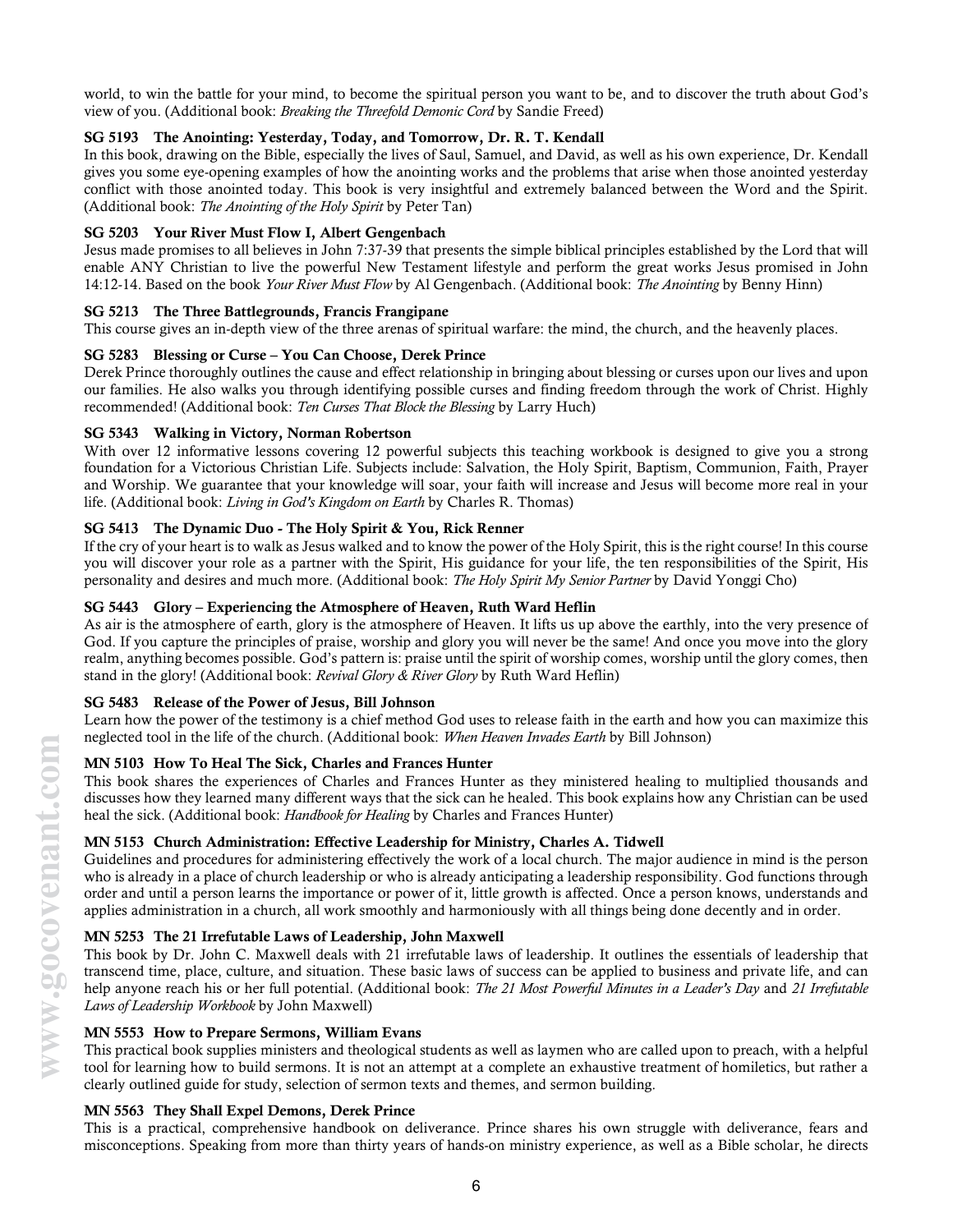world, to win the battle for your mind, to become the spiritual person you want to be, and to discover the truth about God's view of you. (Additional book: Breaking the Threefold Demonic Cord by Sandie Freed)

### SG 5193 The Anointing: Yesterday, Today, and Tomorrow, Dr. R. T. Kendall

In this book, drawing on the Bible, especially the lives of Saul, Samuel, and David, as well as his own experience, Dr. Kendall gives you some eye-opening examples of how the anointing works and the problems that arise when those anointed yesterday conflict with those anointed today. This book is very insightful and extremely balanced between the Word and the Spirit. (Additional book: The Anointing of the Holy Spirit by Peter Tan)

### SG 5203 Your River Must Flow I, Albert Gengenbach

Jesus made promises to all believes in John 7:37-39 that presents the simple biblical principles established by the Lord that will enable ANY Christian to live the powerful New Testament lifestyle and perform the great works Jesus promised in John 14:12-14. Based on the book Your River Must Flow by Al Gengenbach. (Additional book: The Anointing by Benny Hinn)

### SG 5213 The Three Battlegrounds, Francis Frangipane

This course gives an in-depth view of the three arenas of spiritual warfare: the mind, the church, and the heavenly places.

### SG 5283 Blessing or Curse – You Can Choose, Derek Prince

Derek Prince thoroughly outlines the cause and effect relationship in bringing about blessing or curses upon our lives and upon our families. He also walks you through identifying possible curses and finding freedom through the work of Christ. Highly recommended! (Additional book: Ten Curses That Block the Blessing by Larry Huch)

### SG 5343 Walking in Victory, Norman Robertson

With over 12 informative lessons covering 12 powerful subjects this teaching workbook is designed to give you a strong foundation for a Victorious Christian Life. Subjects include: Salvation, the Holy Spirit, Baptism, Communion, Faith, Prayer and Worship. We guarantee that your knowledge will soar, your faith will increase and Jesus will become more real in your life. (Additional book: Living in God's Kingdom on Earth by Charles R. Thomas)

### SG 5413 The Dynamic Duo - The Holy Spirit & You, Rick Renner

If the cry of your heart is to walk as Jesus walked and to know the power of the Holy Spirit, this is the right course! In this course you will discover your role as a partner with the Spirit, His guidance for your life, the ten responsibilities of the Spirit, His personality and desires and much more. (Additional book: The Holy Spirit My Senior Partner by David Yonggi Cho)

### SG 5443 Glory – Experiencing the Atmosphere of Heaven, Ruth Ward Heflin

As air is the atmosphere of earth, glory is the atmosphere of Heaven. It lifts us up above the earthly, into the very presence of God. If you capture the principles of praise, worship and glory you will never be the same! And once you move into the glory realm, anything becomes possible. God's pattern is: praise until the spirit of worship comes, worship until the glory comes, then stand in the glory! (Additional book: Revival Glory  $\&$  River Glory by Ruth Ward Heflin)

## SG 5483 Release of the Power of Jesus, Bill Johnson

Learn how the power of the testimony is a chief method God uses to release faith in the earth and how you can maximize this neglected tool in the life of the church. (Additional book: When Heaven Invades Earth by Bill Johnson)

### MN 5103 How To Heal The Sick, Charles and Frances Hunter

This book shares the experiences of Charles and Frances Hunter as they ministered healing to multiplied thousands and discusses how they learned many different ways that the sick can he healed. This book explains how any Christian can be used heal the sick. (Additional book: Handbook for Healing by Charles and Frances Hunter)

## MN 5153 Church Administration: Effective Leadership for Ministry, Charles A. Tidwell

Guidelines and procedures for administering effectively the work of a local church. The major audience in mind is the person who is already in a place of church leadership or who is already anticipating a leadership responsibility. God functions through order and until a person learns the importance or power of it, little growth is affected. Once a person knows, understands and applies administration in a church, all work smoothly and harmoniously with all things being done decently and in order.

### MN 5253 The 21 Irrefutable Laws of Leadership, John Maxwell

This book by Dr. John C. Maxwell deals with 21 irrefutable laws of leadership. It outlines the essentials of leadership that transcend time, place, culture, and situation. These basic laws of success can be applied to business and private life, and can help anyone reach his or her full potential. (Additional book: The 21 Most Powerful Minutes in a Leader's Day and 21 Irrefutable Laws of Leadership Workbook by John Maxwell)

### MN 5553 How to Prepare Sermons, William Evans

This practical book supplies ministers and theological students as well as laymen who are called upon to preach, with a helpful tool for learning how to build sermons. It is not an attempt at a complete an exhaustive treatment of homiletics, but rather a clearly outlined guide for study, selection of sermon texts and themes, and sermon building.

### MN 5563 They Shall Expel Demons, Derek Prince

This is a practical, comprehensive handbook on deliverance. Prince shares his own struggle with deliverance, fears and misconceptions. Speaking from more than thirty years of hands-on ministry experience, as well as a Bible scholar, he directs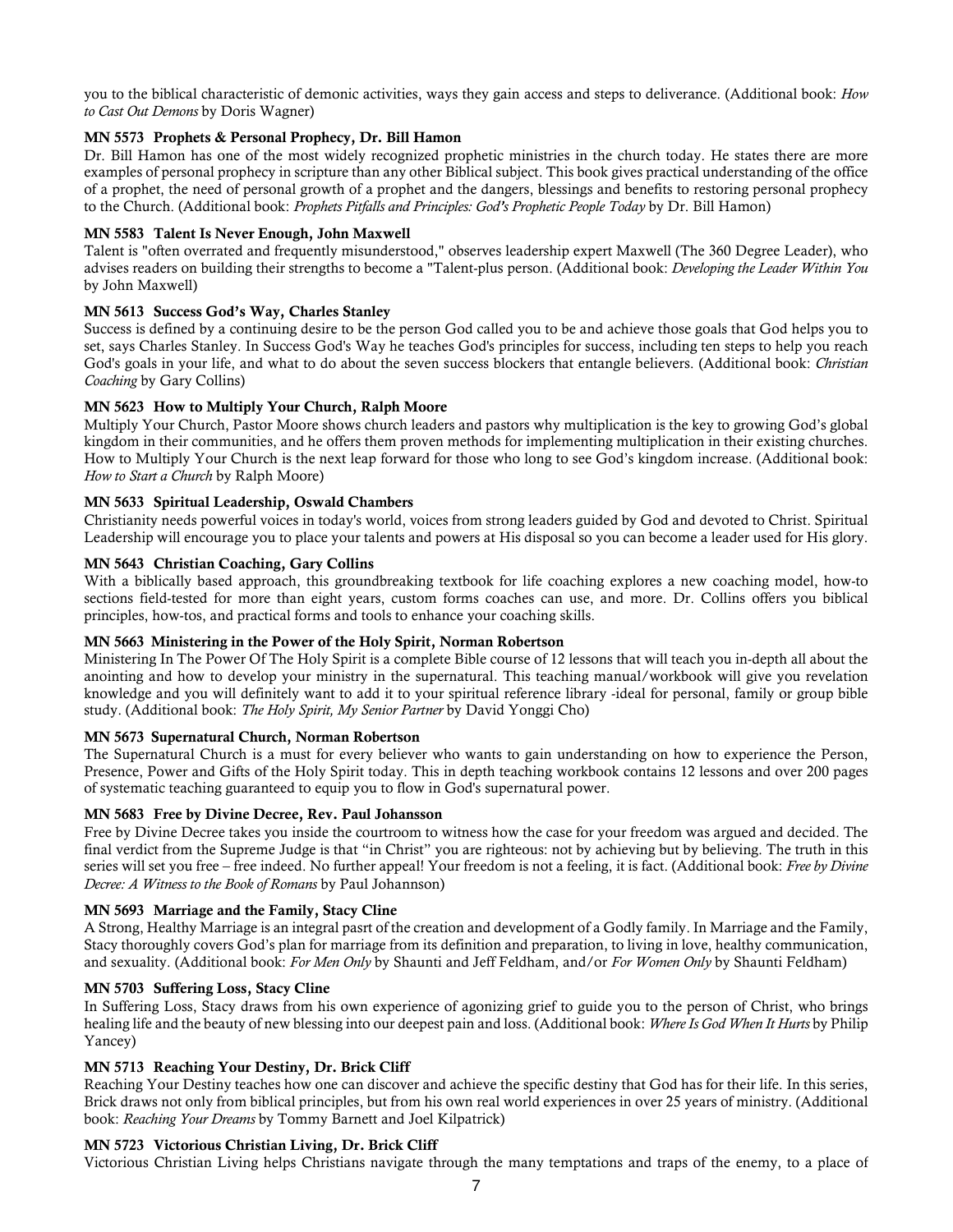you to the biblical characteristic of demonic activities, ways they gain access and steps to deliverance. (Additional book: How to Cast Out Demons by Doris Wagner)

### MN 5573 Prophets & Personal Prophecy, Dr. Bill Hamon

Dr. Bill Hamon has one of the most widely recognized prophetic ministries in the church today. He states there are more examples of personal prophecy in scripture than any other Biblical subject. This book gives practical understanding of the office of a prophet, the need of personal growth of a prophet and the dangers, blessings and benefits to restoring personal prophecy to the Church. (Additional book: Prophets Pitfalls and Principles: God's Prophetic People Today by Dr. Bill Hamon)

### MN 5583 Talent Is Never Enough, John Maxwell

Talent is "often overrated and frequently misunderstood," observes leadership expert Maxwell (The 360 Degree Leader), who advises readers on building their strengths to become a "Talent-plus person. (Additional book: *Developing the Leader Within You* by John Maxwell)

### MN 5613 Success God's Way, Charles Stanley

Success is defined by a continuing desire to be the person God called you to be and achieve those goals that God helps you to set, says Charles Stanley. In Success God's Way he teaches God's principles for success, including ten steps to help you reach God's goals in your life, and what to do about the seven success blockers that entangle believers. (Additional book: Christian Coaching by Gary Collins)

### MN 5623 How to Multiply Your Church, Ralph Moore

Multiply Your Church, Pastor Moore shows church leaders and pastors why multiplication is the key to growing God's global kingdom in their communities, and he offers them proven methods for implementing multiplication in their existing churches. How to Multiply Your Church is the next leap forward for those who long to see God's kingdom increase. (Additional book: How to Start a Church by Ralph Moore)

### MN 5633 Spiritual Leadership, Oswald Chambers

Christianity needs powerful voices in today's world, voices from strong leaders guided by God and devoted to Christ. Spiritual Leadership will encourage you to place your talents and powers at His disposal so you can become a leader used for His glory.

### MN 5643 Christian Coaching, Gary Collins

With a biblically based approach, this groundbreaking textbook for life coaching explores a new coaching model, how-to sections field-tested for more than eight years, custom forms coaches can use, and more. Dr. Collins offers you biblical principles, how-tos, and practical forms and tools to enhance your coaching skills.

### MN 5663 Ministering in the Power of the Holy Spirit, Norman Robertson

Ministering In The Power Of The Holy Spirit is a complete Bible course of 12 lessons that will teach you in-depth all about the anointing and how to develop your ministry in the supernatural. This teaching manual/workbook will give you revelation knowledge and you will definitely want to add it to your spiritual reference library -ideal for personal, family or group bible study. (Additional book: The Holy Spirit, My Senior Partner by David Yonggi Cho)

### MN 5673 Supernatural Church, Norman Robertson

The Supernatural Church is a must for every believer who wants to gain understanding on how to experience the Person, Presence, Power and Gifts of the Holy Spirit today. This in depth teaching workbook contains 12 lessons and over 200 pages of systematic teaching guaranteed to equip you to flow in God's supernatural power.

### MN 5683 Free by Divine Decree, Rev. Paul Johansson

Free by Divine Decree takes you inside the courtroom to witness how the case for your freedom was argued and decided. The final verdict from the Supreme Judge is that "in Christ" you are righteous: not by achieving but by believing. The truth in this series will set you free – free indeed. No further appeal! Your freedom is not a feeling, it is fact. (Additional book: Free by Divine Decree: A Witness to the Book of Romans by Paul Johannson)

### MN 5693 Marriage and the Family, Stacy Cline

A Strong, Healthy Marriage is an integral pasrt of the creation and development of a Godly family. In Marriage and the Family, Stacy thoroughly covers God's plan for marriage from its definition and preparation, to living in love, healthy communication, and sexuality. (Additional book: For Men Only by Shaunti and Jeff Feldham, and/or For Women Only by Shaunti Feldham)

### MN 5703 Suffering Loss, Stacy Cline

In Suffering Loss, Stacy draws from his own experience of agonizing grief to guide you to the person of Christ, who brings healing life and the beauty of new blessing into our deepest pain and loss. (Additional book: Where Is God When It Hurts by Philip Yancey)

### MN 5713 Reaching Your Destiny, Dr. Brick Cliff

Reaching Your Destiny teaches how one can discover and achieve the specific destiny that God has for their life. In this series, Brick draws not only from biblical principles, but from his own real world experiences in over 25 years of ministry. (Additional book: Reaching Your Dreams by Tommy Barnett and Joel Kilpatrick)

### MN 5723 Victorious Christian Living, Dr. Brick Cliff

Victorious Christian Living helps Christians navigate through the many temptations and traps of the enemy, to a place of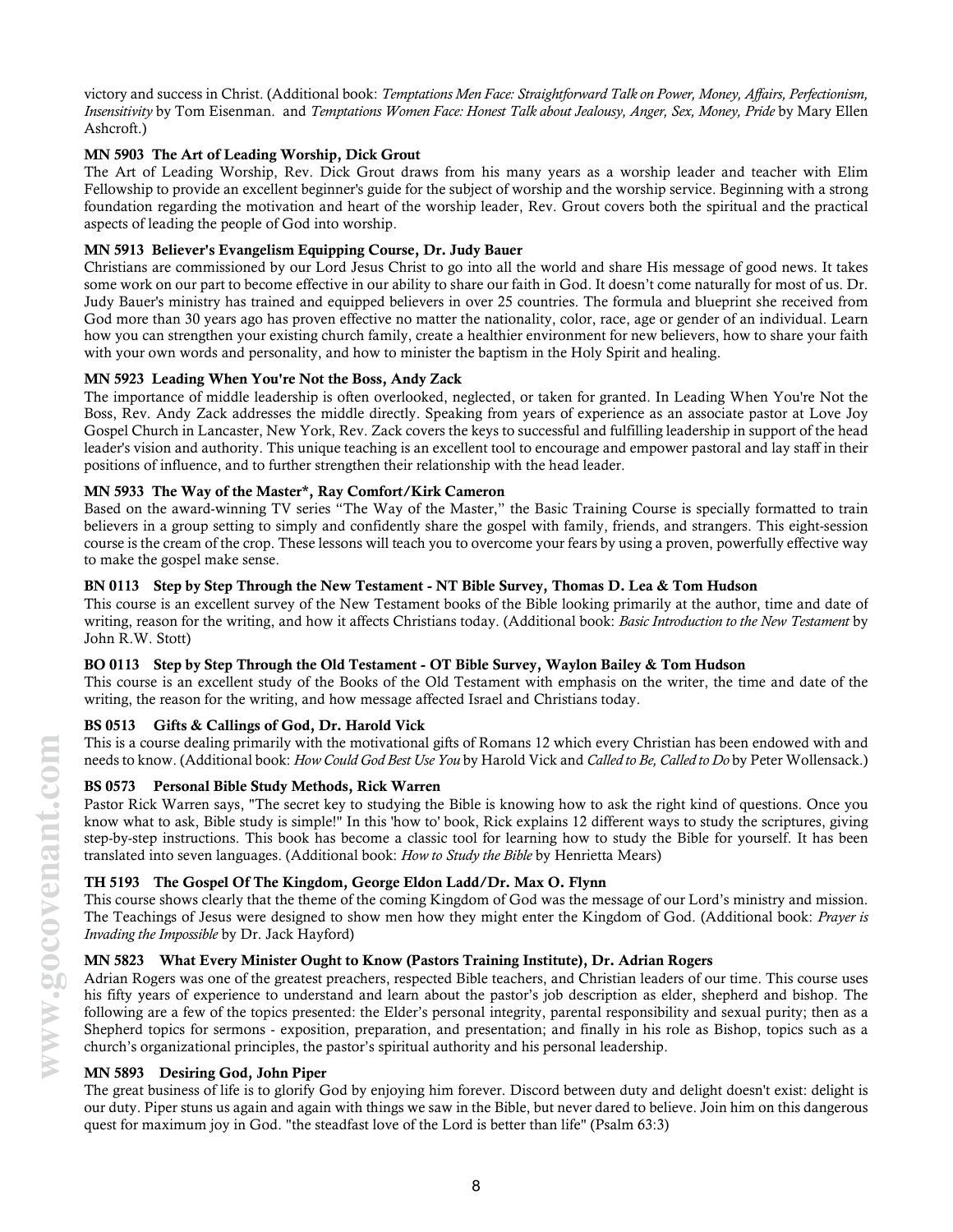victory and success in Christ. (Additional book: Temptations Men Face: Straightforward Talk on Power, Money, Affairs, Perfectionism, Insensitivity by Tom Eisenman. and Temptations Women Face: Honest Talk about Jealousy, Anger, Sex, Money, Pride by Mary Ellen Ashcroft.)

### MN 5903 The Art of Leading Worship, Dick Grout

The Art of Leading Worship, Rev. Dick Grout draws from his many years as a worship leader and teacher with Elim Fellowship to provide an excellent beginner's guide for the subject of worship and the worship service. Beginning with a strong foundation regarding the motivation and heart of the worship leader, Rev. Grout covers both the spiritual and the practical aspects of leading the people of God into worship.

### MN 5913 Believer's Evangelism Equipping Course, Dr. Judy Bauer

Christians are commissioned by our Lord Jesus Christ to go into all the world and share His message of good news. It takes some work on our part to become effective in our ability to share our faith in God. It doesn't come naturally for most of us. Dr. Judy Bauer's ministry has trained and equipped believers in over 25 countries. The formula and blueprint she received from God more than 30 years ago has proven effective no matter the nationality, color, race, age or gender of an individual. Learn how you can strengthen your existing church family, create a healthier environment for new believers, how to share your faith with your own words and personality, and how to minister the baptism in the Holy Spirit and healing.

### MN 5923 Leading When You're Not the Boss, Andy Zack

The importance of middle leadership is often overlooked, neglected, or taken for granted. In Leading When You're Not the Boss, Rev. Andy Zack addresses the middle directly. Speaking from years of experience as an associate pastor at Love Joy Gospel Church in Lancaster, New York, Rev. Zack covers the keys to successful and fulfilling leadership in support of the head leader's vision and authority. This unique teaching is an excellent tool to encourage and empower pastoral and lay staff in their positions of influence, and to further strengthen their relationship with the head leader.

### MN 5933 The Way of the Master\*, Ray Comfort/Kirk Cameron

Based on the award-winning TV series "The Way of the Master," the Basic Training Course is specially formatted to train believers in a group setting to simply and confidently share the gospel with family, friends, and strangers. This eight-session course is the cream of the crop. These lessons will teach you to overcome your fears by using a proven, powerfully effective way to make the gospel make sense.

### BN 0113 Step by Step Through the New Testament - NT Bible Survey, Thomas D. Lea & Tom Hudson

This course is an excellent survey of the New Testament books of the Bible looking primarily at the author, time and date of writing, reason for the writing, and how it affects Christians today. (Additional book: Basic Introduction to the New Testament by John R.W. Stott)

### BO 0113 Step by Step Through the Old Testament - OT Bible Survey, Waylon Bailey & Tom Hudson

This course is an excellent study of the Books of the Old Testament with emphasis on the writer, the time and date of the writing, the reason for the writing, and how message affected Israel and Christians today.

### BS 0513 Gifts & Callings of God, Dr. Harold Vick

This is a course dealing primarily with the motivational gifts of Romans 12 which every Christian has been endowed with and needs to know. (Additional book: How Could God Best Use You by Harold Vick and Called to Be, Called to Do by Peter Wollensack.)

### BS 0573 Personal Bible Study Methods, Rick Warren

Pastor Rick Warren says, "The secret key to studying the Bible is knowing how to ask the right kind of questions. Once you know what to ask, Bible study is simple!" In this 'how to' book, Rick explains 12 different ways to study the scriptures, giving step-by-step instructions. This book has become a classic tool for learning how to study the Bible for yourself. It has been translated into seven languages. (Additional book: How to Study the Bible by Henrietta Mears)

### TH 5193 The Gospel Of The Kingdom, George Eldon Ladd/Dr. Max O. Flynn

This course shows clearly that the theme of the coming Kingdom of God was the message of our Lord's ministry and mission. The Teachings of Jesus were designed to show men how they might enter the Kingdom of God. (Additional book: Prayer is Invading the Impossible by Dr. Jack Hayford)

### MN 5823 What Every Minister Ought to Know (Pastors Training Institute), Dr. Adrian Rogers

Adrian Rogers was one of the greatest preachers, respected Bible teachers, and Christian leaders of our time. This course uses his fifty years of experience to understand and learn about the pastor's job description as elder, shepherd and bishop. The following are a few of the topics presented: the Elder's personal integrity, parental responsibility and sexual purity; then as a Shepherd topics for sermons - exposition, preparation, and presentation; and finally in his role as Bishop, topics such as a church's organizational principles, the pastor's spiritual authority and his personal leadership.

### MN 5893 Desiring God, John Piper

The great business of life is to glorify God by enjoying him forever. Discord between duty and delight doesn't exist: delight is our duty. Piper stuns us again and again with things we saw in the Bible, but never dared to believe. Join him on this dangerous quest for maximum joy in God. "the steadfast love of the Lord is better than life" (Psalm 63:3)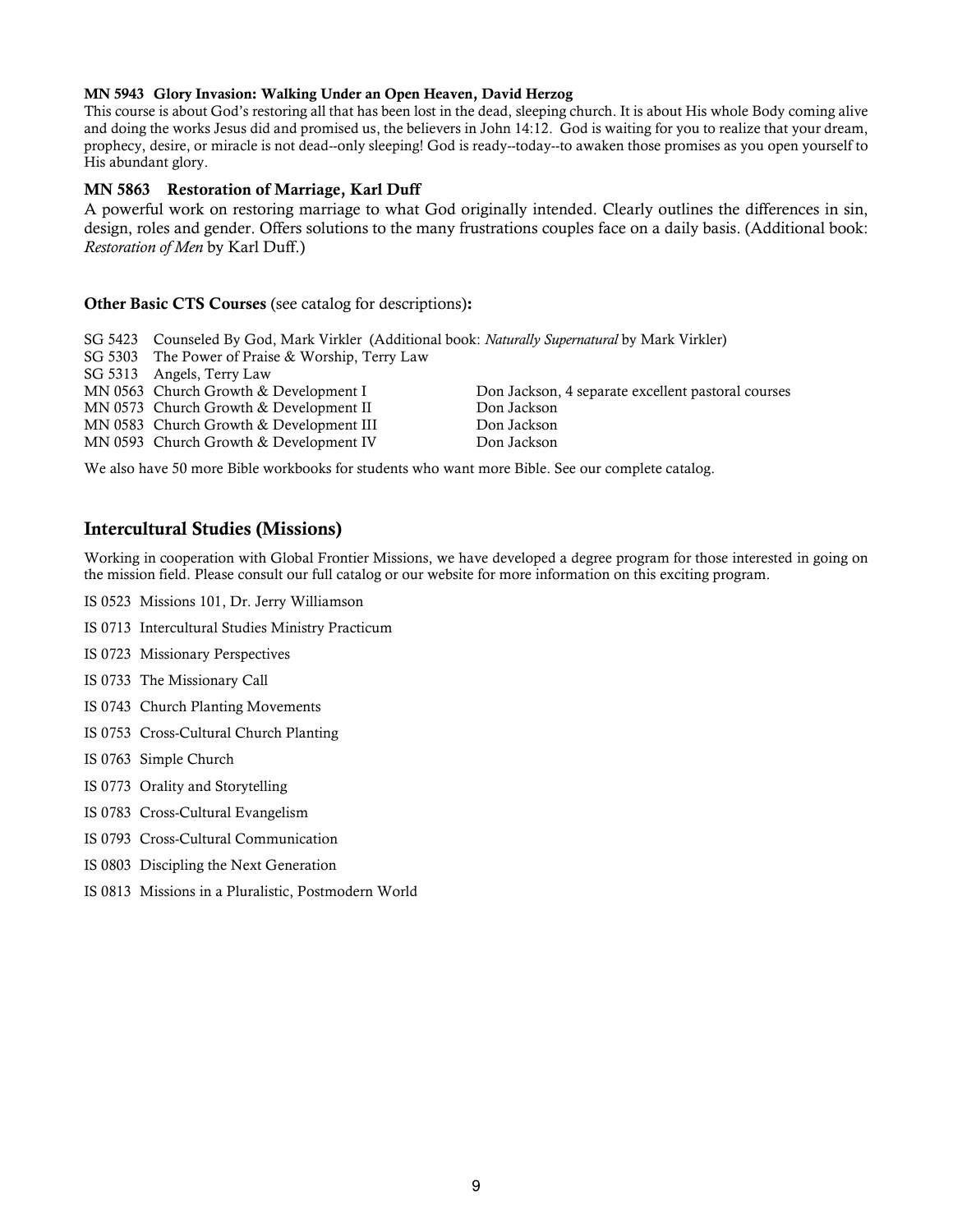### MN 5943 Glory Invasion: Walking Under an Open Heaven, David Herzog

This course is about God's restoring all that has been lost in the dead, sleeping church. It is about His whole Body coming alive and doing the works Jesus did and promised us, the believers in John 14:12. God is waiting for you to realize that your dream, prophecy, desire, or miracle is not dead--only sleeping! God is ready--today--to awaken those promises as you open yourself to His abundant glory.

### MN 5863 Restoration of Marriage, Karl Duff

A powerful work on restoring marriage to what God originally intended. Clearly outlines the differences in sin, design, roles and gender. Offers solutions to the many frustrations couples face on a daily basis. (Additional book: Restoration of Men by Karl Duff.)

### Other Basic CTS Courses (see catalog for descriptions):

| SG 5423 Counseled By God, Mark Virkler (Additional book: Naturally Supernatural by Mark Virkler) |                                                    |
|--------------------------------------------------------------------------------------------------|----------------------------------------------------|
| SG 5303 The Power of Praise & Worship, Terry Law                                                 |                                                    |
| SG 5313 Angels, Terry Law                                                                        |                                                    |
| MN 0563 Church Growth & Development I                                                            | Don Jackson, 4 separate excellent pastoral courses |
| MN 0573 Church Growth & Development II                                                           | Don Jackson                                        |
| MN 0583 Church Growth & Development III                                                          | Don Jackson                                        |
| MN 0593 Church Growth & Development IV                                                           | Don Jackson                                        |

We also have 50 more Bible workbooks for students who want more Bible. See our complete catalog.

## Intercultural Studies (Missions)

Working in cooperation with Global Frontier Missions, we have developed a degree program for those interested in going on the mission field. Please consult our full catalog or our website for more information on this exciting program.

- IS 0523 Missions 101, Dr. Jerry Williamson
- IS 0713 Intercultural Studies Ministry Practicum
- IS 0723 Missionary Perspectives
- IS 0733 The Missionary Call
- IS 0743 Church Planting Movements
- IS 0753 Cross-Cultural Church Planting
- IS 0763 Simple Church
- IS 0773 Orality and Storytelling
- IS 0783 Cross-Cultural Evangelism
- IS 0793 Cross-Cultural Communication
- IS 0803 Discipling the Next Generation
- IS 0813 Missions in a Pluralistic, Postmodern World